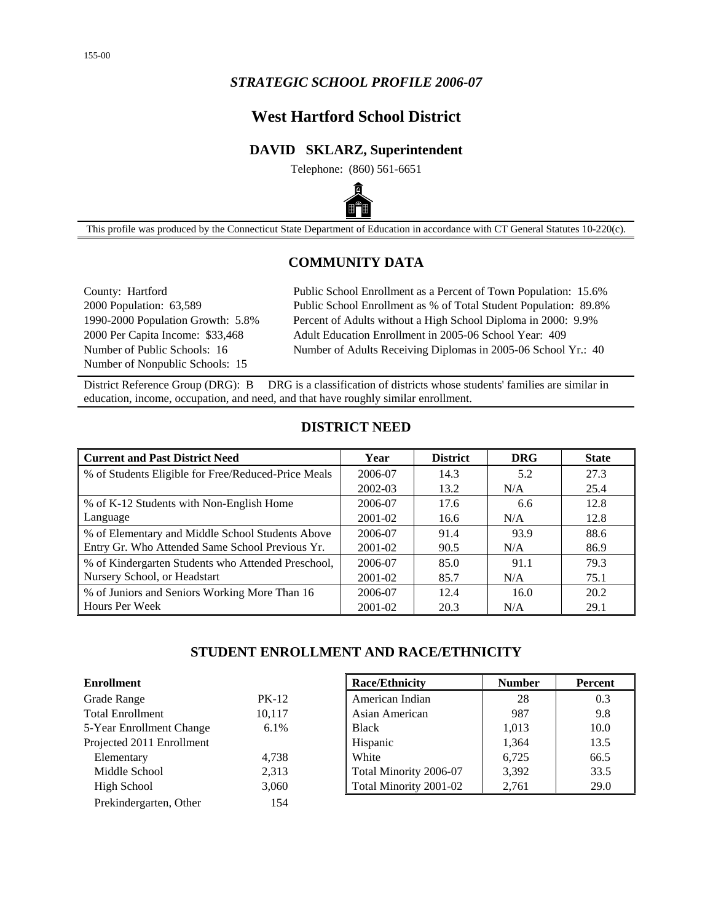## *STRATEGIC SCHOOL PROFILE 2006-07*

# **West Hartford School District**

## **DAVID SKLARZ, Superintendent**

Telephone: (860) 561-6651



This profile was produced by the Connecticut State Department of Education in accordance with CT General Statutes 10-220(c).

## **COMMUNITY DATA**

Number of Nonpublic Schools: 15

County: Hartford Public School Enrollment as a Percent of Town Population: 15.6% 2000 Population: 63,589 Public School Enrollment as % of Total Student Population: 89.8% 1990-2000 Population Growth: 5.8% Percent of Adults without a High School Diploma in 2000: 9.9% 2000 Per Capita Income: \$33,468 Adult Education Enrollment in 2005-06 School Year: 409 Number of Public Schools: 16 Number of Adults Receiving Diplomas in 2005-06 School Yr.: 40

District Reference Group (DRG): B DRG is a classification of districts whose students' families are similar in education, income, occupation, and need, and that have roughly similar enrollment.

#### **DISTRICT NEED**

| <b>Current and Past District Need</b>               | Year    | <b>District</b> | <b>DRG</b> | <b>State</b> |
|-----------------------------------------------------|---------|-----------------|------------|--------------|
| % of Students Eligible for Free/Reduced-Price Meals | 2006-07 | 14.3            | 5.2        | 27.3         |
|                                                     | 2002-03 | 13.2            | N/A        | 25.4         |
| % of K-12 Students with Non-English Home            | 2006-07 | 17.6            | 6.6        | 12.8         |
| Language                                            | 2001-02 | 16.6            | N/A        | 12.8         |
| % of Elementary and Middle School Students Above    | 2006-07 | 91.4            | 93.9       | 88.6         |
| Entry Gr. Who Attended Same School Previous Yr.     | 2001-02 | 90.5            | N/A        | 86.9         |
| % of Kindergarten Students who Attended Preschool,  | 2006-07 | 85.0            | 91.1       | 79.3         |
| Nursery School, or Headstart                        | 2001-02 | 85.7            | N/A        | 75.1         |
| % of Juniors and Seniors Working More Than 16       | 2006-07 | 12.4            | 16.0       | 20.2         |
| <b>Hours Per Week</b>                               | 2001-02 | 20.3            | N/A        | 29.1         |

## **STUDENT ENROLLMENT AND RACE/ETHNICITY**

| <b>Enrollment</b>         |              | <b>Race/Ethnicity</b>  | <b>Number</b> | <b>Percent</b> |
|---------------------------|--------------|------------------------|---------------|----------------|
| Grade Range               | <b>PK-12</b> | American Indian        | 28            | 0.3            |
| <b>Total Enrollment</b>   | 10,117       | Asian American         | 987           | 9.8            |
| 5-Year Enrollment Change  | 6.1%         | <b>Black</b>           | 1,013         | 10.0           |
| Projected 2011 Enrollment |              | Hispanic               | 1,364         | 13.5           |
| Elementary                | 4,738        | White                  | 6.725         | 66.5           |
| Middle School             | 2,313        | Total Minority 2006-07 | 3,392         | 33.5           |
| High School               | 3,060        | Total Minority 2001-02 | 2,761         | 29.0           |
| Prekindergarten, Other    | 154          |                        |               |                |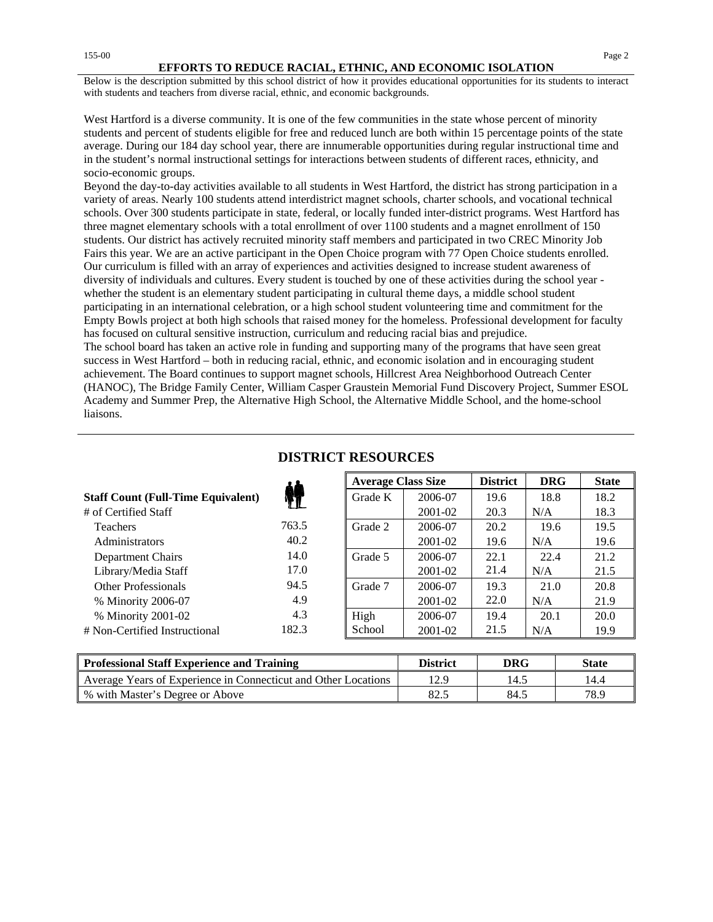#### **EFFORTS TO REDUCE RACIAL, ETHNIC, AND ECONOMIC ISOLATION**

Below is the description submitted by this school district of how it provides educational opportunities for its students to interact with students and teachers from diverse racial, ethnic, and economic backgrounds.

West Hartford is a diverse community. It is one of the few communities in the state whose percent of minority students and percent of students eligible for free and reduced lunch are both within 15 percentage points of the state average. During our 184 day school year, there are innumerable opportunities during regular instructional time and in the student's normal instructional settings for interactions between students of different races, ethnicity, and socio-economic groups.

Beyond the day-to-day activities available to all students in West Hartford, the district has strong participation in a variety of areas. Nearly 100 students attend interdistrict magnet schools, charter schools, and vocational technical schools. Over 300 students participate in state, federal, or locally funded inter-district programs. West Hartford has three magnet elementary schools with a total enrollment of over 1100 students and a magnet enrollment of 150 students. Our district has actively recruited minority staff members and participated in two CREC Minority Job Fairs this year. We are an active participant in the Open Choice program with 77 Open Choice students enrolled. Our curriculum is filled with an array of experiences and activities designed to increase student awareness of diversity of individuals and cultures. Every student is touched by one of these activities during the school year whether the student is an elementary student participating in cultural theme days, a middle school student participating in an international celebration, or a high school student volunteering time and commitment for the Empty Bowls project at both high schools that raised money for the homeless. Professional development for faculty has focused on cultural sensitive instruction, curriculum and reducing racial bias and prejudice.

The school board has taken an active role in funding and supporting many of the programs that have seen great success in West Hartford – both in reducing racial, ethnic, and economic isolation and in encouraging student achievement. The Board continues to support magnet schools, Hillcrest Area Neighborhood Outreach Center (HANOC), The Bridge Family Center, William Casper Graustein Memorial Fund Discovery Project, Summer ESOL Academy and Summer Prep, the Alternative High School, the Alternative Middle School, and the home-school liaisons.

|                                           |       | <b>Average Class Size</b> |         | <b>District</b> | <b>DRG</b> | <b>State</b> |
|-------------------------------------------|-------|---------------------------|---------|-----------------|------------|--------------|
| <b>Staff Count (Full-Time Equivalent)</b> |       | Grade K                   | 2006-07 | 19.6            | 18.8       | 18.2         |
| # of Certified Staff                      |       |                           | 2001-02 | 20.3            | N/A        | 18.3         |
| <b>Teachers</b>                           | 763.5 | Grade 2                   | 2006-07 | 20.2            | 19.6       | 19.5         |
| <b>Administrators</b>                     | 40.2  |                           | 2001-02 | 19.6            | N/A        | 19.6         |
| Department Chairs                         | 14.0  | Grade 5                   | 2006-07 | 22.1            | 22.4       | 21.2         |
| Library/Media Staff                       | 17.0  |                           | 2001-02 | 21.4            | N/A        | 21.5         |
| <b>Other Professionals</b>                | 94.5  | Grade 7                   | 2006-07 | 19.3            | 21.0       | 20.8         |
| % Minority 2006-07                        | 4.9   |                           | 2001-02 | 22.0            | N/A        | 21.9         |
| % Minority 2001-02                        | 4.3   | High                      | 2006-07 | 19.4            | 20.1       | 20.0         |
| # Non-Certified Instructional             | 182.3 | School                    | 2001-02 | 21.5            | N/A        | 19.9         |
|                                           |       |                           |         |                 |            |              |

### **DISTRICT RESOURCES**

| Professional Staff Experience and Training                     | <b>District</b> | DRG  | <b>State</b> |
|----------------------------------------------------------------|-----------------|------|--------------|
| Average Years of Experience in Connecticut and Other Locations | 12.9            | 14.5 | 14.4         |
| ↓ % with Master's Degree or Above                              | 82.5            | 84.5 | 78.9         |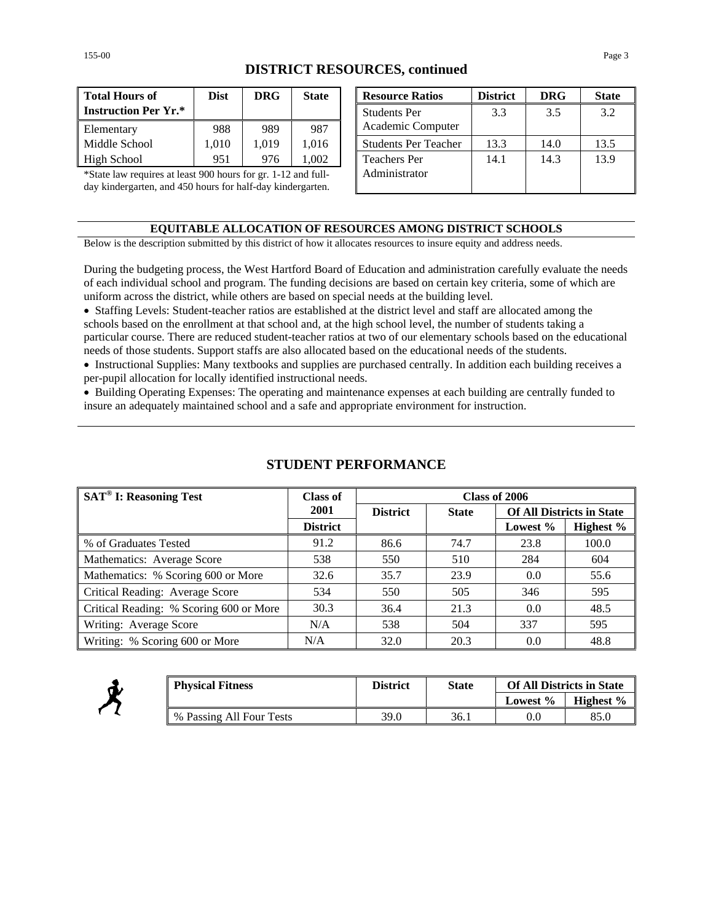| <b>DISTRICT RESOURCES, continued</b> |  |
|--------------------------------------|--|
|--------------------------------------|--|

| <b>Total Hours of</b>       | <b>Dist</b> | <b>DRG</b> | <b>State</b> |
|-----------------------------|-------------|------------|--------------|
| <b>Instruction Per Yr.*</b> |             |            |              |
| Elementary                  | 988         | 989        | 987          |
| Middle School               | 1.010       | 1.019      | 1,016        |
| High School                 | 951         | 976        | 002          |

| Total Hours of                                                | <b>Dist</b> | <b>DRG</b> | <b>State</b>  |  | <b>Resource Ratios</b>      | <b>District</b> | <b>DRG</b> | <b>State</b> |
|---------------------------------------------------------------|-------------|------------|---------------|--|-----------------------------|-----------------|------------|--------------|
| <b>Instruction Per Yr.*</b>                                   |             |            |               |  | <b>Students Per</b>         | 3.3             | 3.5        | 3.2          |
| Elementary                                                    | 988         | 989        | 987           |  | Academic Computer           |                 |            |              |
| Middle School                                                 | 1,010       | 1.019      | 1,016         |  | <b>Students Per Teacher</b> | 13.3            | 14.0       | 13.5         |
| High School                                                   | 951         | 976        | 1,002         |  | <b>Teachers Per</b>         | 14.1            | 14.3       | 13.9         |
| *State law requires at least 900 hours for gr. 1-12 and full- |             |            | Administrator |  |                             |                 |            |              |
| day kindergarten, and 450 hours for half-day kindergarten.    |             |            |               |  |                             |                 |            |              |

#### **EQUITABLE ALLOCATION OF RESOURCES AMONG DISTRICT SCHOOLS**

Below is the description submitted by this district of how it allocates resources to insure equity and address needs.

During the budgeting process, the West Hartford Board of Education and administration carefully evaluate the needs of each individual school and program. The funding decisions are based on certain key criteria, some of which are uniform across the district, while others are based on special needs at the building level.

• Staffing Levels: Student-teacher ratios are established at the district level and staff are allocated among the schools based on the enrollment at that school and, at the high school level, the number of students taking a particular course. There are reduced student-teacher ratios at two of our elementary schools based on the educational needs of those students. Support staffs are also allocated based on the educational needs of the students.

• Instructional Supplies: Many textbooks and supplies are purchased centrally. In addition each building receives a per-pupil allocation for locally identified instructional needs.

• Building Operating Expenses: The operating and maintenance expenses at each building are centrally funded to insure an adequately maintained school and a safe and appropriate environment for instruction.

| <b>SAT<sup>®</sup> I: Reasoning Test</b> | Class of        | Class of 2006   |              |                                  |           |  |
|------------------------------------------|-----------------|-----------------|--------------|----------------------------------|-----------|--|
|                                          | 2001            | <b>District</b> | <b>State</b> | <b>Of All Districts in State</b> |           |  |
|                                          | <b>District</b> |                 |              | Lowest %                         | Highest % |  |
| % of Graduates Tested                    | 91.2            | 86.6            | 74.7         | 23.8                             | 100.0     |  |
| Mathematics: Average Score               | 538             | 550             | 510          | 284                              | 604       |  |
| Mathematics: % Scoring 600 or More       | 32.6            | 35.7            | 23.9         | 0.0                              | 55.6      |  |
| Critical Reading: Average Score          | 534             | 550             | 505          | 346                              | 595       |  |
| Critical Reading: % Scoring 600 or More  | 30.3            | 36.4            | 21.3         | 0.0                              | 48.5      |  |
| Writing: Average Score                   | N/A             | 538             | 504          | 337                              | 595       |  |
| Writing: % Scoring 600 or More           | N/A             | 32.0            | 20.3         | 0.0                              | 48.8      |  |

### **STUDENT PERFORMANCE**



| <b>Physical Fitness</b>  | District | <b>State</b> | <b>Of All Districts in State</b> |           |
|--------------------------|----------|--------------|----------------------------------|-----------|
|                          |          |              | Lowest %                         | Highest % |
| % Passing All Four Tests | 39.0     | 36.1         | 0.C                              | 85.0      |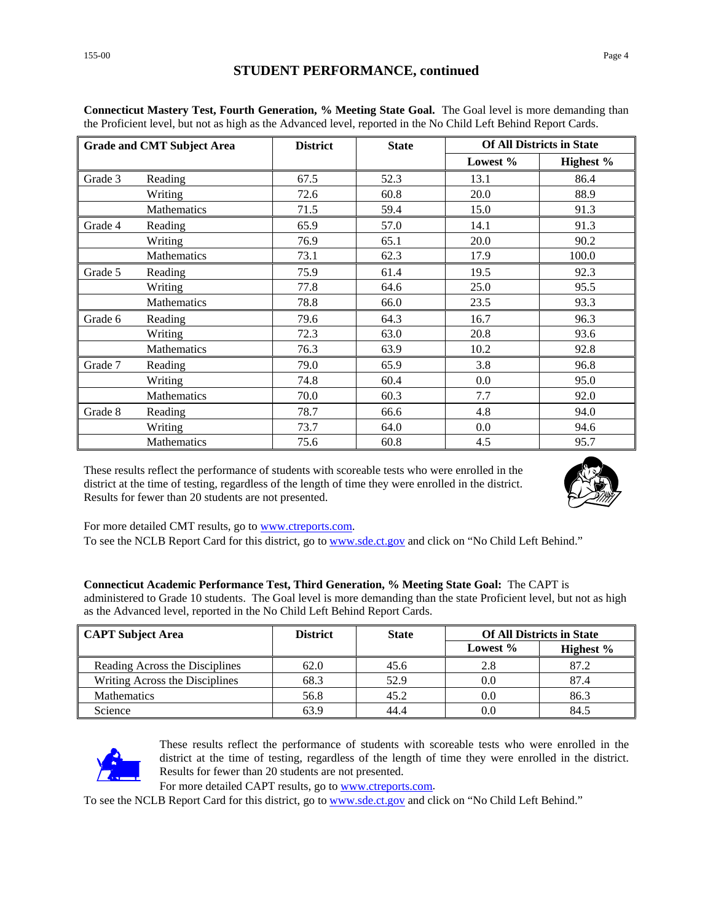### **STUDENT PERFORMANCE, continued**

|         | <b>Grade and CMT Subject Area</b> | <b>District</b> | <b>State</b> |          | <b>Of All Districts in State</b> |
|---------|-----------------------------------|-----------------|--------------|----------|----------------------------------|
|         |                                   |                 |              | Lowest % | Highest %                        |
| Grade 3 | Reading                           | 67.5            | 52.3         | 13.1     | 86.4                             |
|         | Writing                           | 72.6            | 60.8         | 20.0     | 88.9                             |
|         | Mathematics                       | 71.5            | 59.4         | 15.0     | 91.3                             |
| Grade 4 | Reading                           | 65.9            | 57.0         | 14.1     | 91.3                             |
|         | Writing                           | 76.9            | 65.1         | 20.0     | 90.2                             |
|         | Mathematics                       | 73.1            | 62.3         | 17.9     | 100.0                            |
| Grade 5 | Reading                           | 75.9            | 61.4         | 19.5     | 92.3                             |
|         | Writing                           | 77.8            | 64.6         | 25.0     | 95.5                             |
|         | <b>Mathematics</b>                | 78.8            | 66.0         | 23.5     | 93.3                             |
| Grade 6 | Reading                           | 79.6            | 64.3         | 16.7     | 96.3                             |
|         | Writing                           | 72.3            | 63.0         | 20.8     | 93.6                             |
|         | Mathematics                       | 76.3            | 63.9         | 10.2     | 92.8                             |
| Grade 7 | Reading                           | 79.0            | 65.9         | 3.8      | 96.8                             |
|         | Writing                           | 74.8            | 60.4         | 0.0      | 95.0                             |
|         | <b>Mathematics</b>                | 70.0            | 60.3         | 7.7      | 92.0                             |
| Grade 8 | Reading                           | 78.7            | 66.6         | 4.8      | 94.0                             |
|         | Writing                           | 73.7            | 64.0         | 0.0      | 94.6                             |
|         | Mathematics                       | 75.6            | 60.8         | 4.5      | 95.7                             |

**Connecticut Mastery Test, Fourth Generation, % Meeting State Goal.** The Goal level is more demanding than the Proficient level, but not as high as the Advanced level, reported in the No Child Left Behind Report Cards.

These results reflect the performance of students with scoreable tests who were enrolled in the district at the time of testing, regardless of the length of time they were enrolled in the district. Results for fewer than 20 students are not presented.



For more detailed CMT results, go to [www.ctreports.com.](http://www.ctreports.com/)

To see the NCLB Report Card for this district, go to [www.sde.ct.gov](http://www.sde.ct.gov/) and click on "No Child Left Behind."

| Connecticut Academic Performance Test, Third Generation, % Meeting State Goal: The CAPT is                           |
|----------------------------------------------------------------------------------------------------------------------|
| administered to Grade 10 students. The Goal level is more demanding than the state Proficient level, but not as high |
| as the Advanced level, reported in the No Child Left Behind Report Cards.                                            |

| <b>CAPT Subject Area</b>       | <b>District</b> | <b>State</b> | <b>Of All Districts in State</b> |           |
|--------------------------------|-----------------|--------------|----------------------------------|-----------|
|                                |                 |              | Lowest %                         | Highest % |
| Reading Across the Disciplines | 62.0            | 45.6         | 2.8                              | 87.2      |
| Writing Across the Disciplines | 68.3            | 52.9         | 0.0                              | 87.4      |
| <b>Mathematics</b>             | 56.8            | 45.2         | 0.0                              | 86.3      |
| Science                        | 63.9            | 44.4         | 0.0                              | 84.5      |



These results reflect the performance of students with scoreable tests who were enrolled in the district at the time of testing, regardless of the length of time they were enrolled in the district. Results for fewer than 20 students are not presented.

For more detailed CAPT results, go to [www.ctreports.com.](http://www.ctreports.com/)

To see the NCLB Report Card for this district, go to [www.sde.ct.gov](http://www.sde.ct.gov/) and click on "No Child Left Behind."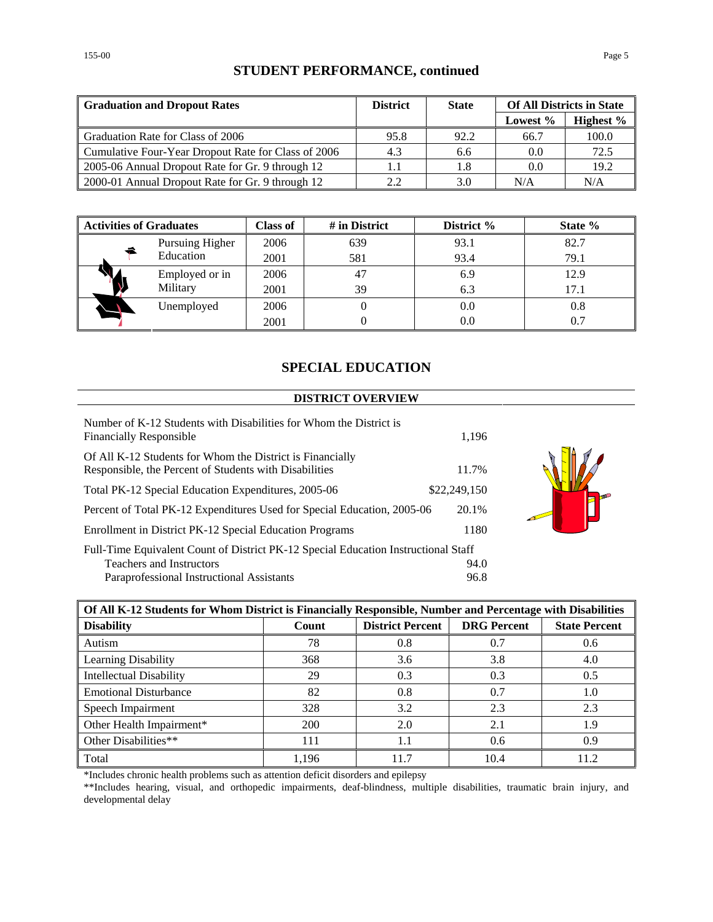## **STUDENT PERFORMANCE, continued**

| <b>Graduation and Dropout Rates</b>                 | <b>District</b> | <b>State</b> | <b>Of All Districts in State</b> |           |
|-----------------------------------------------------|-----------------|--------------|----------------------------------|-----------|
|                                                     |                 |              | Lowest %                         | Highest % |
| Graduation Rate for Class of 2006                   | 95.8            | 92.2         | 66.7                             | 100.0     |
| Cumulative Four-Year Dropout Rate for Class of 2006 | 4.3             | 6.6          | 0.0                              | 72.5      |
| 2005-06 Annual Dropout Rate for Gr. 9 through 12    | 1.1             | 1.8          | 0.0                              | 19.2      |
| 2000-01 Annual Dropout Rate for Gr. 9 through 12    | 2.2             | 3.0          | N/A                              | N/A       |

| <b>Activities of Graduates</b> |                 | <b>Class of</b> | # in District | District % | State % |
|--------------------------------|-----------------|-----------------|---------------|------------|---------|
|                                | Pursuing Higher | 2006            | 639           | 93.1       | 82.7    |
|                                | Education       | 2001            | 581           | 93.4       | 79.1    |
|                                | Employed or in  | 2006            | 47            | 6.9        | 12.9    |
|                                | Military        | 2001            | 39            | 6.3        | 17.1    |
|                                | Unemployed      | 2006            |               | 0.0        | 0.8     |
|                                |                 | 2001            |               | 0.0        | 0.7     |

## **SPECIAL EDUCATION**

#### **DISTRICT OVERVIEW**

| Number of K-12 Students with Disabilities for Whom the District is<br><b>Financially Responsible</b>                | 1,196        |
|---------------------------------------------------------------------------------------------------------------------|--------------|
| Of All K-12 Students for Whom the District is Financially<br>Responsible, the Percent of Students with Disabilities | 11.7%        |
| Total PK-12 Special Education Expenditures, 2005-06                                                                 | \$22,249,150 |
| Percent of Total PK-12 Expenditures Used for Special Education, 2005-06                                             | 20.1%        |
| Enrollment in District PK-12 Special Education Programs                                                             | 1180         |
| Full-Time Equivalent Count of District PK-12 Special Education Instructional Staff                                  |              |
| <b>Teachers and Instructors</b>                                                                                     | 94.0         |
| Paraprofessional Instructional Assistants                                                                           | 96.8         |



| Of All K-12 Students for Whom District is Financially Responsible, Number and Percentage with Disabilities |       |                         |                    |                      |  |
|------------------------------------------------------------------------------------------------------------|-------|-------------------------|--------------------|----------------------|--|
| <b>Disability</b>                                                                                          | Count | <b>District Percent</b> | <b>DRG</b> Percent | <b>State Percent</b> |  |
| Autism                                                                                                     | 78    | 0.8                     | 0.7                | 0.6                  |  |
| Learning Disability                                                                                        | 368   | 3.6                     | 3.8                | 4.0                  |  |
| <b>Intellectual Disability</b>                                                                             | 29    | 0.3                     | 0.3                | 0.5                  |  |
| <b>Emotional Disturbance</b>                                                                               | 82    | 0.8                     | 0.7                | 1.0                  |  |
| Speech Impairment                                                                                          | 328   | 3.2                     | 2.3                | 2.3                  |  |
| Other Health Impairment*                                                                                   | 200   | 2.0                     | 2.1                | 1.9                  |  |
| Other Disabilities**                                                                                       | 111   | 1.1                     | 0.6                | 0.9                  |  |
| Total                                                                                                      | 1,196 | 11.7                    | 10.4               | 11.2                 |  |

\*Includes chronic health problems such as attention deficit disorders and epilepsy

\*\*Includes hearing, visual, and orthopedic impairments, deaf-blindness, multiple disabilities, traumatic brain injury, and developmental delay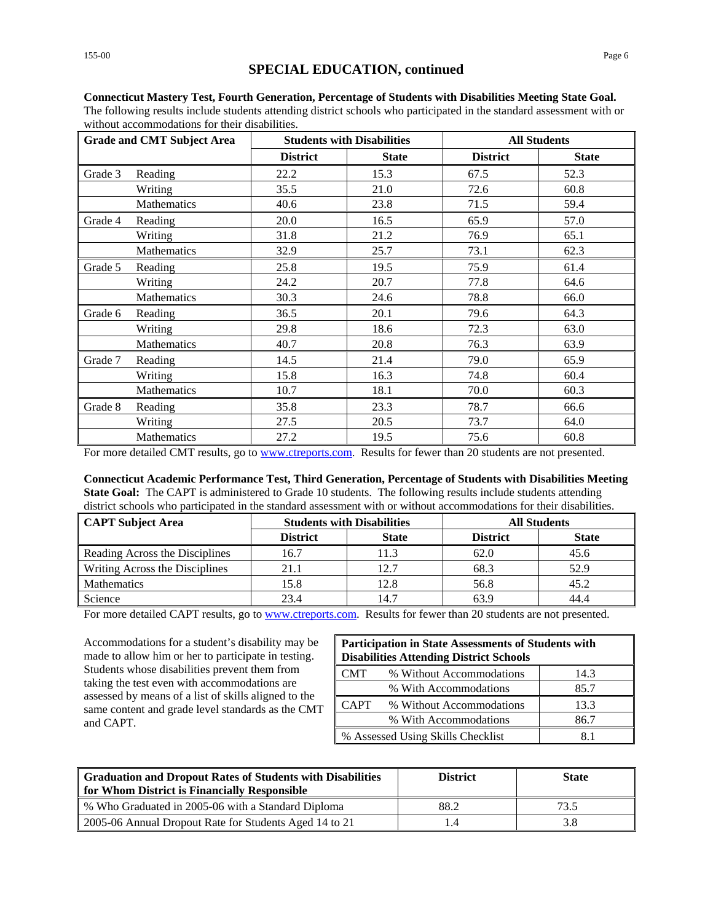| <b>Grade and CMT Subject Area</b> |             |                 | <b>Students with Disabilities</b> |                 | <b>All Students</b> |  |  |
|-----------------------------------|-------------|-----------------|-----------------------------------|-----------------|---------------------|--|--|
|                                   |             | <b>District</b> | <b>State</b>                      | <b>District</b> | <b>State</b>        |  |  |
| Grade 3                           | Reading     | 22.2            | 15.3                              | 67.5            | 52.3                |  |  |
|                                   | Writing     | 35.5            | 21.0                              | 72.6            | 60.8                |  |  |
|                                   | Mathematics | 40.6            | 23.8                              | 71.5            | 59.4                |  |  |
| Grade 4                           | Reading     | 20.0            | 16.5                              | 65.9            | 57.0                |  |  |
|                                   | Writing     | 31.8            | 21.2                              | 76.9            | 65.1                |  |  |
|                                   | Mathematics | 32.9            | 25.7                              | 73.1            | 62.3                |  |  |
| Grade 5                           | Reading     | 25.8            | 19.5                              | 75.9            | 61.4                |  |  |
|                                   | Writing     | 24.2            | 20.7                              | 77.8            | 64.6                |  |  |
|                                   | Mathematics | 30.3            | 24.6                              | 78.8            | 66.0                |  |  |
| Grade 6                           | Reading     | 36.5            | 20.1                              | 79.6            | 64.3                |  |  |
|                                   | Writing     | 29.8            | 18.6                              | 72.3            | 63.0                |  |  |
|                                   | Mathematics | 40.7            | 20.8                              | 76.3            | 63.9                |  |  |
| Grade 7                           | Reading     | 14.5            | 21.4                              | 79.0            | 65.9                |  |  |
|                                   | Writing     | 15.8            | 16.3                              | 74.8            | 60.4                |  |  |
|                                   | Mathematics | 10.7            | 18.1                              | 70.0            | 60.3                |  |  |
| Grade 8                           | Reading     | 35.8            | 23.3                              | 78.7            | 66.6                |  |  |
|                                   | Writing     | 27.5            | 20.5                              | 73.7            | 64.0                |  |  |
|                                   | Mathematics | 27.2            | 19.5                              | 75.6            | 60.8                |  |  |

**Connecticut Mastery Test, Fourth Generation, Percentage of Students with Disabilities Meeting State Goal.** The following results include students attending district schools who participated in the standard assessment with or without accommodations for their disabilities.

For more detailed CMT results, go to [www.ctreports.com.](http://www.ctreports.com/) Results for fewer than 20 students are not presented.

**Connecticut Academic Performance Test, Third Generation, Percentage of Students with Disabilities Meeting State Goal:** The CAPT is administered to Grade 10 students. The following results include students attending district schools who participated in the standard assessment with or without accommodations for their disabilities.

| CAPT Subject Area              | <b>Students with Disabilities</b> |              | <b>All Students</b> |              |  |
|--------------------------------|-----------------------------------|--------------|---------------------|--------------|--|
|                                | <b>District</b>                   | <b>State</b> | <b>District</b>     | <b>State</b> |  |
| Reading Across the Disciplines | 16.7                              | 1.3          | 62.0                | 45.6         |  |
| Writing Across the Disciplines | 21.1                              | 12.7         | 68.3                | 52.9         |  |
| Mathematics                    | 15.8                              | 12.8         | 56.8                | 45.2         |  |
| Science                        | 23.4                              | 14.7         | 63.9                | 44.4         |  |

For more detailed CAPT results, go to [www.ctreports.com.](http://www.ctreports.com/) Results for fewer than 20 students are not presented.

Accommodations for a student's disability may be made to allow him or her to participate in testing. Students whose disabilities prevent them from taking the test even with accommodations are assessed by means of a list of skills aligned to the same content and grade level standards as the CMT and CAPT.

| <b>Participation in State Assessments of Students with</b><br><b>Disabilities Attending District Schools</b> |                                          |      |  |  |
|--------------------------------------------------------------------------------------------------------------|------------------------------------------|------|--|--|
| <b>CMT</b>                                                                                                   | % Without Accommodations                 | 14.3 |  |  |
|                                                                                                              | % With Accommodations                    | 85.7 |  |  |
| <b>CAPT</b>                                                                                                  | % Without Accommodations                 | 13.3 |  |  |
| % With Accommodations<br>86.7                                                                                |                                          |      |  |  |
|                                                                                                              | % Assessed Using Skills Checklist<br>8.1 |      |  |  |

| Graduation and Dropout Rates of Students with Disabilities<br><b>for Whom District is Financially Responsible</b> | <b>District</b> | <b>State</b> |
|-------------------------------------------------------------------------------------------------------------------|-----------------|--------------|
| ■ % Who Graduated in 2005-06 with a Standard Diploma                                                              | 88.2            | 73.5         |
| 2005-06 Annual Dropout Rate for Students Aged 14 to 21                                                            | $\mathcal{L}$   | 3.8          |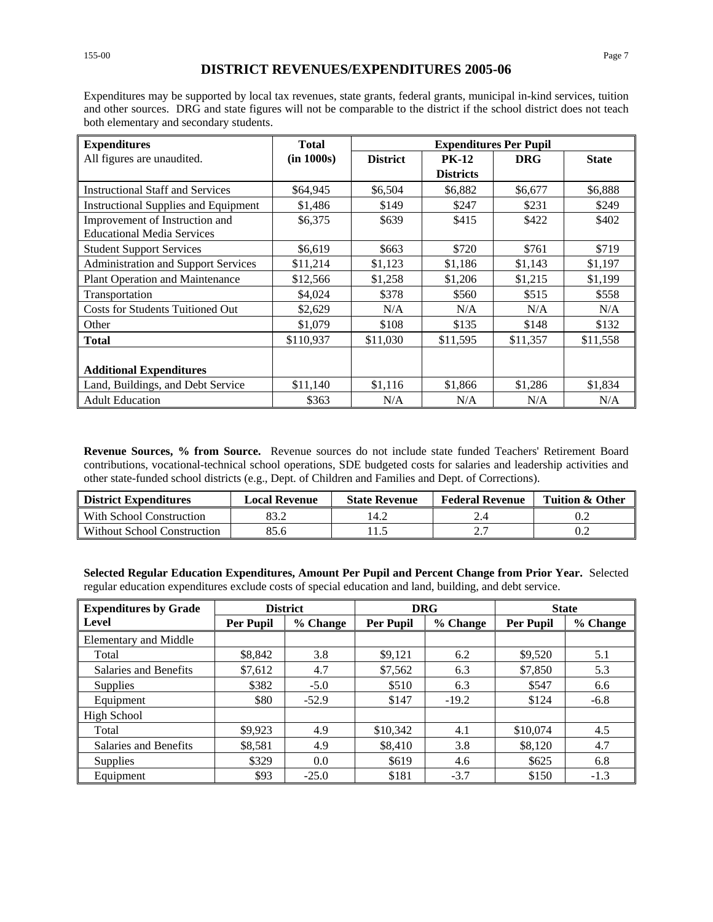### **DISTRICT REVENUES/EXPENDITURES 2005-06**

Expenditures may be supported by local tax revenues, state grants, federal grants, municipal in-kind services, tuition and other sources. DRG and state figures will not be comparable to the district if the school district does not teach both elementary and secondary students.

| <b>Expenditures</b>                        | <b>Total</b> | <b>Expenditures Per Pupil</b> |                  |            |              |
|--------------------------------------------|--------------|-------------------------------|------------------|------------|--------------|
| All figures are unaudited.                 | (in 1000s)   | <b>District</b>               | <b>PK-12</b>     | <b>DRG</b> | <b>State</b> |
|                                            |              |                               | <b>Districts</b> |            |              |
| <b>Instructional Staff and Services</b>    | \$64,945     | \$6,504                       | \$6,882          | \$6,677    | \$6,888      |
| Instructional Supplies and Equipment       | \$1,486      | \$149                         | \$247            | \$231      | \$249        |
| Improvement of Instruction and             | \$6,375      | \$639                         | \$415            | \$422      | \$402        |
| <b>Educational Media Services</b>          |              |                               |                  |            |              |
| <b>Student Support Services</b>            | \$6,619      | \$663                         | \$720            | \$761      | \$719        |
| <b>Administration and Support Services</b> | \$11,214     | \$1,123                       | \$1,186          | \$1,143    | \$1,197      |
| Plant Operation and Maintenance            | \$12,566     | \$1,258                       | \$1,206          | \$1,215    | \$1,199      |
| Transportation                             | \$4,024      | \$378                         | \$560            | \$515      | \$558        |
| <b>Costs for Students Tuitioned Out</b>    | \$2,629      | N/A                           | N/A              | N/A        | N/A          |
| Other                                      | \$1,079      | \$108                         | \$135            | \$148      | \$132        |
| <b>Total</b>                               | \$110.937    | \$11,030                      | \$11,595         | \$11.357   | \$11,558     |
|                                            |              |                               |                  |            |              |
| <b>Additional Expenditures</b>             |              |                               |                  |            |              |
| Land, Buildings, and Debt Service          | \$11,140     | \$1,116                       | \$1,866          | \$1,286    | \$1,834      |
| <b>Adult Education</b>                     | \$363        | N/A                           | N/A              | N/A        | N/A          |

**Revenue Sources, % from Source.** Revenue sources do not include state funded Teachers' Retirement Board contributions, vocational-technical school operations, SDE budgeted costs for salaries and leadership activities and other state-funded school districts (e.g., Dept. of Children and Families and Dept. of Corrections).

| <b>District Expenditures</b> | <b>Local Revenue</b> | <b>State Revenue</b> | <b>Federal Revenue</b> | <b>Tuition &amp; Other</b> |
|------------------------------|----------------------|----------------------|------------------------|----------------------------|
| With School Construction     |                      | 14.2                 |                        |                            |
| Without School Construction  | 85.6                 |                      |                        |                            |

**Selected Regular Education Expenditures, Amount Per Pupil and Percent Change from Prior Year.** Selected regular education expenditures exclude costs of special education and land, building, and debt service.

| <b>Expenditures by Grade</b> | <b>District</b>  |          | <b>DRG</b> |          | <b>State</b>     |          |
|------------------------------|------------------|----------|------------|----------|------------------|----------|
| Level                        | <b>Per Pupil</b> | % Change | Per Pupil  | % Change | <b>Per Pupil</b> | % Change |
| <b>Elementary and Middle</b> |                  |          |            |          |                  |          |
| Total                        | \$8,842          | 3.8      | \$9,121    | 6.2      | \$9,520          | 5.1      |
| Salaries and Benefits        | \$7,612          | 4.7      | \$7,562    | 6.3      | \$7,850          | 5.3      |
| <b>Supplies</b>              | \$382            | $-5.0$   | \$510      | 6.3      | \$547            | 6.6      |
| Equipment                    | \$80             | $-52.9$  | \$147      | $-19.2$  | \$124            | $-6.8$   |
| <b>High School</b>           |                  |          |            |          |                  |          |
| Total                        | \$9,923          | 4.9      | \$10,342   | 4.1      | \$10,074         | 4.5      |
| Salaries and Benefits        | \$8,581          | 4.9      | \$8,410    | 3.8      | \$8,120          | 4.7      |
| <b>Supplies</b>              | \$329            | 0.0      | \$619      | 4.6      | \$625            | 6.8      |
| Equipment                    | \$93             | $-25.0$  | \$181      | $-3.7$   | \$150            | $-1.3$   |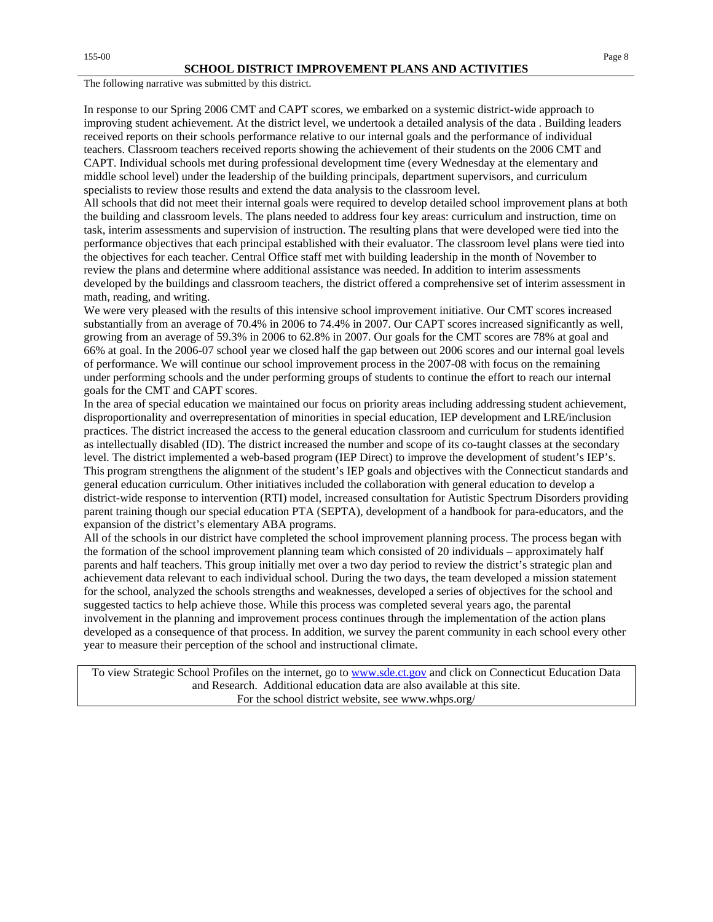The following narrative was submitted by this district.

In response to our Spring 2006 CMT and CAPT scores, we embarked on a systemic district-wide approach to improving student achievement. At the district level, we undertook a detailed analysis of the data . Building leaders received reports on their schools performance relative to our internal goals and the performance of individual teachers. Classroom teachers received reports showing the achievement of their students on the 2006 CMT and CAPT. Individual schools met during professional development time (every Wednesday at the elementary and middle school level) under the leadership of the building principals, department supervisors, and curriculum specialists to review those results and extend the data analysis to the classroom level.

All schools that did not meet their internal goals were required to develop detailed school improvement plans at both the building and classroom levels. The plans needed to address four key areas: curriculum and instruction, time on task, interim assessments and supervision of instruction. The resulting plans that were developed were tied into the performance objectives that each principal established with their evaluator. The classroom level plans were tied into the objectives for each teacher. Central Office staff met with building leadership in the month of November to review the plans and determine where additional assistance was needed. In addition to interim assessments developed by the buildings and classroom teachers, the district offered a comprehensive set of interim assessment in math, reading, and writing.

We were very pleased with the results of this intensive school improvement initiative. Our CMT scores increased substantially from an average of 70.4% in 2006 to 74.4% in 2007. Our CAPT scores increased significantly as well, growing from an average of 59.3% in 2006 to 62.8% in 2007. Our goals for the CMT scores are 78% at goal and 66% at goal. In the 2006-07 school year we closed half the gap between out 2006 scores and our internal goal levels of performance. We will continue our school improvement process in the 2007-08 with focus on the remaining under performing schools and the under performing groups of students to continue the effort to reach our internal goals for the CMT and CAPT scores.

In the area of special education we maintained our focus on priority areas including addressing student achievement, disproportionality and overrepresentation of minorities in special education, IEP development and LRE/inclusion practices. The district increased the access to the general education classroom and curriculum for students identified as intellectually disabled (ID). The district increased the number and scope of its co-taught classes at the secondary level. The district implemented a web-based program (IEP Direct) to improve the development of student's IEP's. This program strengthens the alignment of the student's IEP goals and objectives with the Connecticut standards and general education curriculum. Other initiatives included the collaboration with general education to develop a district-wide response to intervention (RTI) model, increased consultation for Autistic Spectrum Disorders providing parent training though our special education PTA (SEPTA), development of a handbook for para-educators, and the expansion of the district's elementary ABA programs.

All of the schools in our district have completed the school improvement planning process. The process began with the formation of the school improvement planning team which consisted of 20 individuals – approximately half parents and half teachers. This group initially met over a two day period to review the district's strategic plan and achievement data relevant to each individual school. During the two days, the team developed a mission statement for the school, analyzed the schools strengths and weaknesses, developed a series of objectives for the school and suggested tactics to help achieve those. While this process was completed several years ago, the parental involvement in the planning and improvement process continues through the implementation of the action plans developed as a consequence of that process. In addition, we survey the parent community in each school every other year to measure their perception of the school and instructional climate.

To view Strategic School Profiles on the internet, go to [www.sde.ct.gov](http://www.sde.ct.gov/) and click on Connecticut Education Data and Research. Additional education data are also available at this site. For the school district website, see www.whps.org/